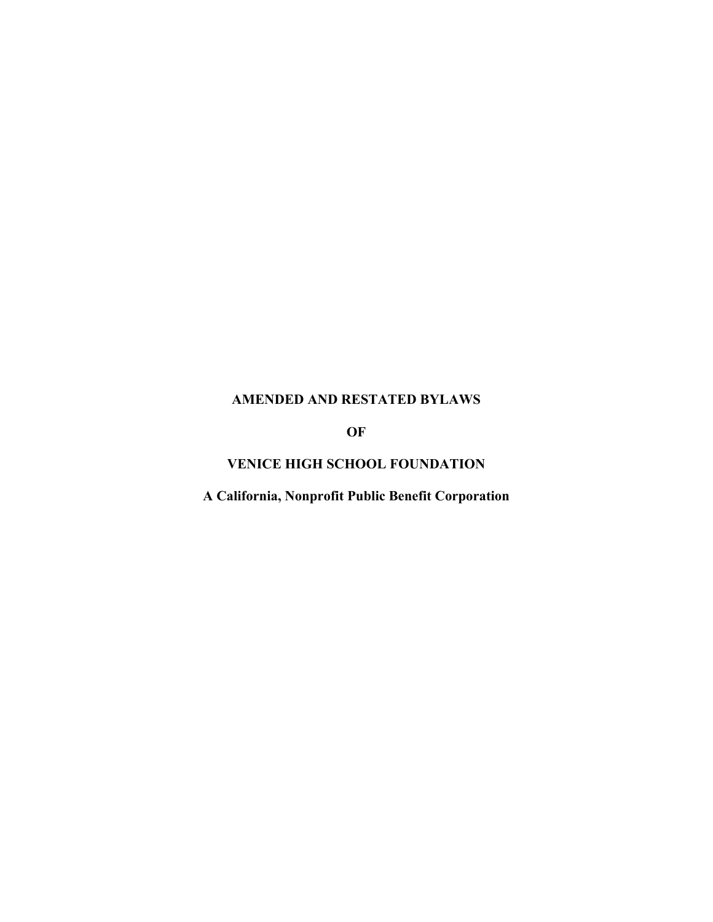# **AMENDED AND RESTATED BYLAWS**

**OF**

# **VENICE HIGH SCHOOL FOUNDATION**

**A California, Nonprofit Public Benefit Corporation**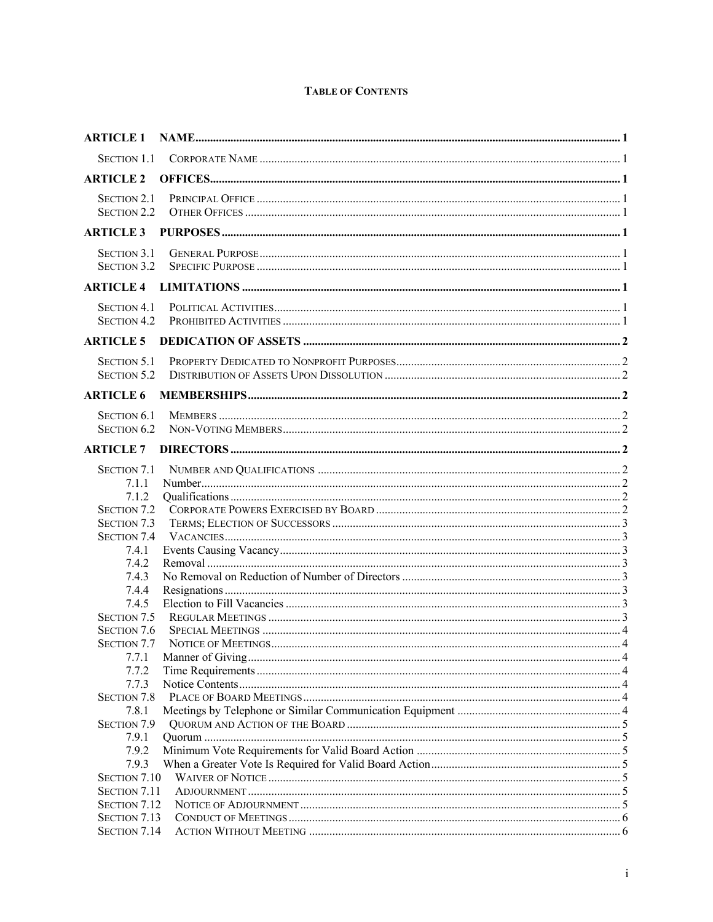# **TABLE OF CONTENTS**

| <b>ARTICLE 1</b>                                           |  |
|------------------------------------------------------------|--|
|                                                            |  |
| <b>ARTICLE 2</b>                                           |  |
| <b>SECTION 2.1</b><br>SECTION 2.2                          |  |
| <b>ARTICLE 3</b>                                           |  |
| <b>SECTION 3.1</b><br><b>SECTION 3.2</b>                   |  |
| <b>ARTICLE 4</b>                                           |  |
| <b>SECTION 4.1</b><br><b>SECTION 4.2</b>                   |  |
| <b>ARTICLE 5</b>                                           |  |
| <b>SECTION 5.1</b><br><b>SECTION 5.2</b>                   |  |
| <b>ARTICLE 6</b>                                           |  |
| <b>SECTION 6.1</b><br><b>SECTION 6.2</b>                   |  |
| <b>ARTICLE 7</b>                                           |  |
| <b>SECTION 7.1</b><br>7.1.1<br>7.1.2<br><b>SECTION 7.2</b> |  |
| <b>SECTION 7.3</b>                                         |  |
| <b>SECTION 7.4</b><br>7.4.1                                |  |
| 7.4.2                                                      |  |
| 7.4.3                                                      |  |
| 7.4.4                                                      |  |
| 7.4.5<br><b>SECTION 7.5</b>                                |  |
| <b>SECTION 7.6</b>                                         |  |
| <b>SECTION 7.7</b>                                         |  |
| 7.7.1                                                      |  |
| 7.7.2                                                      |  |
| 7.7.3<br>SECTION 7.8                                       |  |
| 7.8.1                                                      |  |
| <b>SECTION 7.9</b>                                         |  |
| 7.9.1                                                      |  |
| 7.9.2                                                      |  |
| 7.9.3                                                      |  |
| SECTION 7.10                                               |  |
| <b>SECTION 7.11</b>                                        |  |
| <b>SECTION 7.12</b>                                        |  |
| <b>SECTION 7.13</b><br><b>SECTION 7.14</b>                 |  |
|                                                            |  |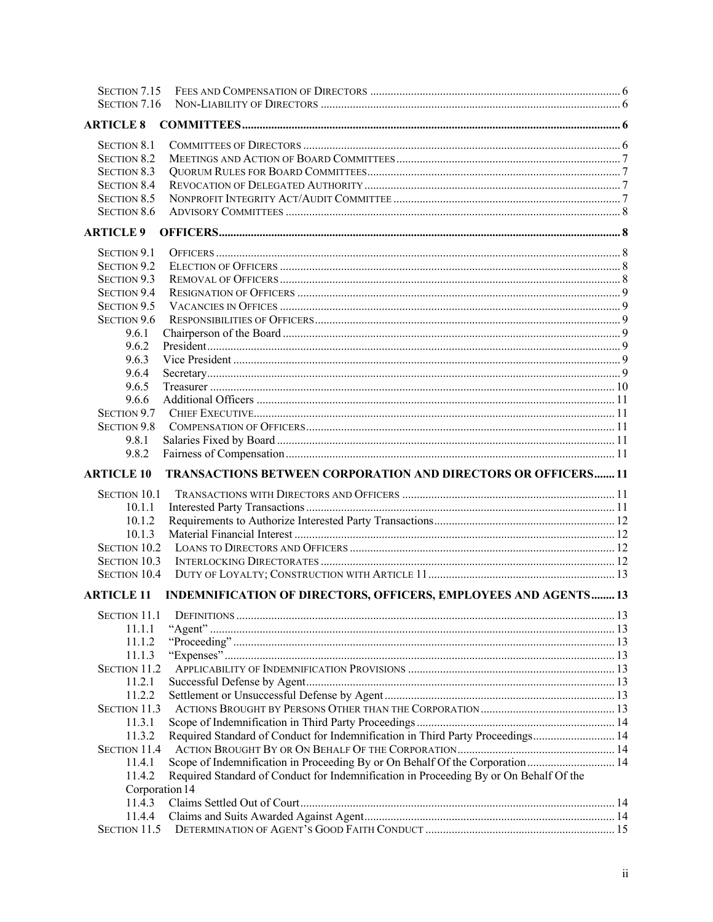| SECTION 7.15        |                                                                                       |  |
|---------------------|---------------------------------------------------------------------------------------|--|
| SECTION 7.16        |                                                                                       |  |
| <b>ARTICLE 8</b>    |                                                                                       |  |
| <b>SECTION 8.1</b>  |                                                                                       |  |
| <b>SECTION 8.2</b>  |                                                                                       |  |
| <b>SECTION 8.3</b>  |                                                                                       |  |
| <b>SECTION 8.4</b>  |                                                                                       |  |
| <b>SECTION 8.5</b>  |                                                                                       |  |
| <b>SECTION 8.6</b>  |                                                                                       |  |
| <b>ARTICLE 9</b>    |                                                                                       |  |
| <b>SECTION 9.1</b>  |                                                                                       |  |
| <b>SECTION 9.2</b>  |                                                                                       |  |
| <b>SECTION 9.3</b>  |                                                                                       |  |
| <b>SECTION 9.4</b>  |                                                                                       |  |
| <b>SECTION 9.5</b>  |                                                                                       |  |
| <b>SECTION 9.6</b>  |                                                                                       |  |
| 9.6.1               |                                                                                       |  |
| 9.6.2               |                                                                                       |  |
| 9.6.3               |                                                                                       |  |
| 9.6.4               |                                                                                       |  |
| 9.6.5               |                                                                                       |  |
| 9.6.6               |                                                                                       |  |
| <b>SECTION 9.7</b>  |                                                                                       |  |
| <b>SECTION 9.8</b>  |                                                                                       |  |
| 9.8.1               |                                                                                       |  |
| 9.8.2               |                                                                                       |  |
| <b>ARTICLE 10</b>   | TRANSACTIONS BETWEEN CORPORATION AND DIRECTORS OR OFFICERS 11                         |  |
| <b>SECTION 10.1</b> |                                                                                       |  |
| 10.1.1              |                                                                                       |  |
| 10.1.2              |                                                                                       |  |
| 10.1.3              |                                                                                       |  |
| <b>SECTION 10.2</b> |                                                                                       |  |
| <b>SECTION 10.3</b> |                                                                                       |  |
| <b>SECTION 10.4</b> |                                                                                       |  |
|                     | ARTICLE 11 INDEMNIFICATION OF DIRECTORS, OFFICERS, EMPLOYEES AND AGENTS 13            |  |
| <b>SECTION 11.1</b> |                                                                                       |  |
| 11.1.1              |                                                                                       |  |
| 11.1.2              |                                                                                       |  |
| 11.1.3              |                                                                                       |  |
| <b>SECTION 11.2</b> |                                                                                       |  |
| 11.2.1              |                                                                                       |  |
| 11.2.2              |                                                                                       |  |
| <b>SECTION 11.3</b> |                                                                                       |  |
| 11.3.1              |                                                                                       |  |
| 11.3.2              | Required Standard of Conduct for Indemnification in Third Party Proceedings 14        |  |
| <b>SECTION 11.4</b> |                                                                                       |  |
| 11.4.1              | Scope of Indemnification in Proceeding By or On Behalf Of the Corporation  14         |  |
| 11.4.2              | Required Standard of Conduct for Indemnification in Proceeding By or On Behalf Of the |  |
| Corporation 14      |                                                                                       |  |
| 11.4.3              |                                                                                       |  |
| 11.4.4              |                                                                                       |  |
| <b>SECTION 11.5</b> |                                                                                       |  |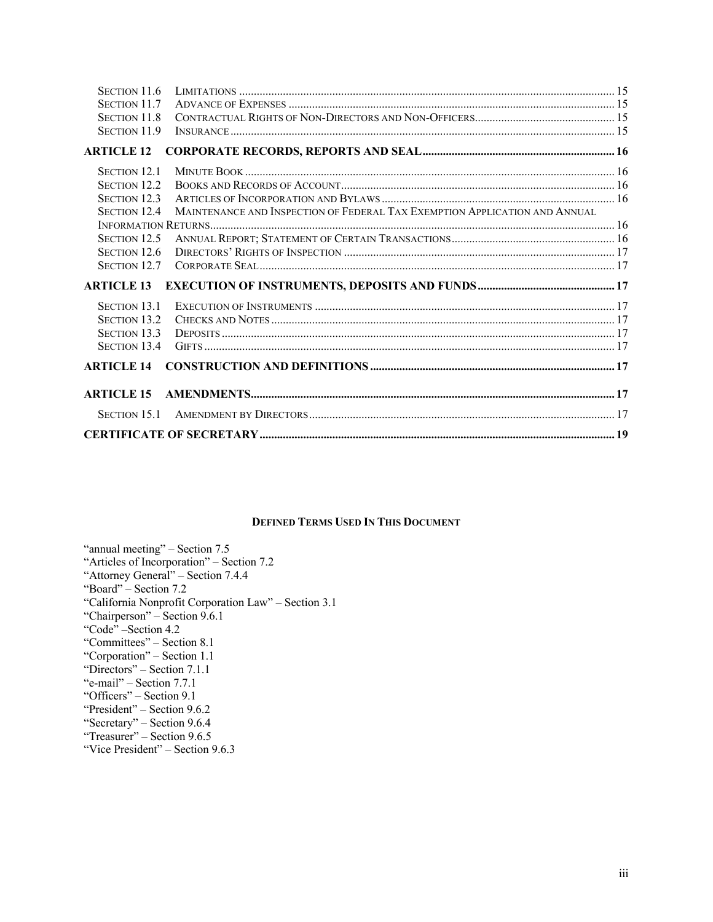| SECTION 11.6        |                                                                            |  |
|---------------------|----------------------------------------------------------------------------|--|
| <b>SECTION 11.7</b> |                                                                            |  |
| <b>SECTION 11.8</b> |                                                                            |  |
| <b>SECTION 11.9</b> |                                                                            |  |
| <b>ARTICLE 12</b>   |                                                                            |  |
| <b>SECTION 12.1</b> |                                                                            |  |
| SECTION 12.2        |                                                                            |  |
| SECTION 12.3        |                                                                            |  |
| <b>SECTION 12.4</b> | MAINTENANCE AND INSPECTION OF FEDERAL TAX EXEMPTION APPLICATION AND ANNUAL |  |
|                     |                                                                            |  |
| <b>SECTION 12.5</b> |                                                                            |  |
| SECTION 12.6        |                                                                            |  |
| <b>SECTION 12.7</b> |                                                                            |  |
| <b>ARTICLE 13</b>   |                                                                            |  |
| <b>SECTION 13.1</b> |                                                                            |  |
| <b>SECTION 13.2</b> |                                                                            |  |
| <b>SECTION 13.3</b> |                                                                            |  |
| <b>SECTION 13.4</b> |                                                                            |  |
| <b>ARTICLE 14</b>   |                                                                            |  |
| <b>ARTICLE 15</b>   |                                                                            |  |
|                     |                                                                            |  |
|                     |                                                                            |  |

### **DEFINED TERMS USED IN THIS DOCUMENT**

"annual meeting" – Section 7.5 "Articles of Incorporation" – Section 7.2 "Attorney General" – Section 7.4.4 "Board" – Section 7.2 "California Nonprofit Corporation Law" – Section 3.1 "Chairperson" – Section 9.6.1 "Code" –Section 4.2 "Committees" – Section 8.1 "Corporation" – Section 1.1 "Directors" – Section 7.1.1 "e-mail" – Section 7.7.1 "Officers" – Section 9.1 "President" – Section 9.6.2 "Secretary" – Section 9.6.4 "Treasurer" – Section 9.6.5 "Vice President" – Section 9.6.3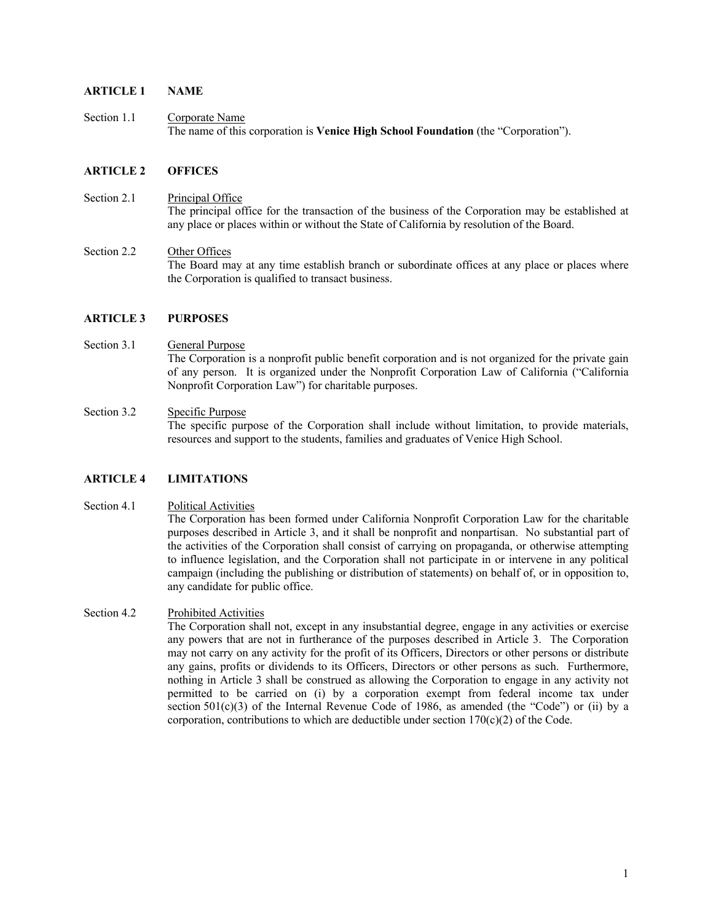## **ARTICLE 1 NAME**

Section 1.1 Corporate Name The name of this corporation is **Venice High School Foundation** (the "Corporation").

#### **ARTICLE 2 OFFICES**

Section 2.1 Principal Office The principal office for the transaction of the business of the Corporation may be established at any place or places within or without the State of California by resolution of the Board.

Section 2.2 Other Offices The Board may at any time establish branch or subordinate offices at any place or places where the Corporation is qualified to transact business.

#### **ARTICLE 3 PURPOSES**

- Section 3.1 General Purpose The Corporation is a nonprofit public benefit corporation and is not organized for the private gain of any person. It is organized under the Nonprofit Corporation Law of California ("California Nonprofit Corporation Law") for charitable purposes.
- Section 3.2 Specific Purpose The specific purpose of the Corporation shall include without limitation, to provide materials, resources and support to the students, families and graduates of Venice High School.

#### **ARTICLE 4 LIMITATIONS**

#### Section 4.1 Political Activities

The Corporation has been formed under California Nonprofit Corporation Law for the charitable purposes described in Article 3, and it shall be nonprofit and nonpartisan. No substantial part of the activities of the Corporation shall consist of carrying on propaganda, or otherwise attempting to influence legislation, and the Corporation shall not participate in or intervene in any political campaign (including the publishing or distribution of statements) on behalf of, or in opposition to, any candidate for public office.

#### Section 4.2 Prohibited Activities

The Corporation shall not, except in any insubstantial degree, engage in any activities or exercise any powers that are not in furtherance of the purposes described in Article 3. The Corporation may not carry on any activity for the profit of its Officers, Directors or other persons or distribute any gains, profits or dividends to its Officers, Directors or other persons as such. Furthermore, nothing in Article 3 shall be construed as allowing the Corporation to engage in any activity not permitted to be carried on (i) by a corporation exempt from federal income tax under section 501(c)(3) of the Internal Revenue Code of 1986, as amended (the "Code") or (ii) by a corporation, contributions to which are deductible under section  $170(c)(2)$  of the Code.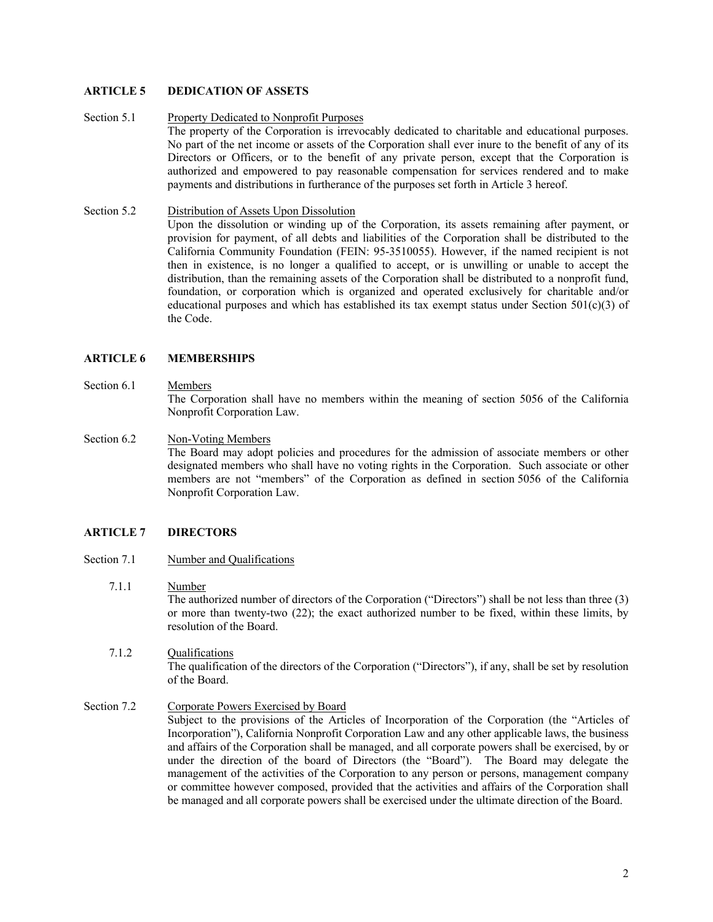### **ARTICLE 5 DEDICATION OF ASSETS**

#### Section 5.1 Property Dedicated to Nonprofit Purposes

The property of the Corporation is irrevocably dedicated to charitable and educational purposes. No part of the net income or assets of the Corporation shall ever inure to the benefit of any of its Directors or Officers, or to the benefit of any private person, except that the Corporation is authorized and empowered to pay reasonable compensation for services rendered and to make payments and distributions in furtherance of the purposes set forth in Article 3 hereof.

### Section 5.2 Distribution of Assets Upon Dissolution

Upon the dissolution or winding up of the Corporation, its assets remaining after payment, or provision for payment, of all debts and liabilities of the Corporation shall be distributed to the California Community Foundation (FEIN: 95-3510055). However, if the named recipient is not then in existence, is no longer a qualified to accept, or is unwilling or unable to accept the distribution, than the remaining assets of the Corporation shall be distributed to a nonprofit fund, foundation, or corporation which is organized and operated exclusively for charitable and/or educational purposes and which has established its tax exempt status under Section  $501(c)(3)$  of the Code.

### **ARTICLE 6 MEMBERSHIPS**

### Section 6.1 Members

The Corporation shall have no members within the meaning of section 5056 of the California Nonprofit Corporation Law.

#### Section 6.2 Non-Voting Members

The Board may adopt policies and procedures for the admission of associate members or other designated members who shall have no voting rights in the Corporation. Such associate or other members are not "members" of the Corporation as defined in section 5056 of the California Nonprofit Corporation Law.

### **ARTICLE 7 DIRECTORS**

Section 7.1 Number and Qualifications

### 7.1.1 Number

The authorized number of directors of the Corporation ("Directors") shall be not less than three (3) or more than twenty-two (22); the exact authorized number to be fixed, within these limits, by resolution of the Board.

7.1.2 Qualifications The qualification of the directors of the Corporation ("Directors"), if any, shall be set by resolution of the Board.

### Section 7.2 Corporate Powers Exercised by Board

Subject to the provisions of the Articles of Incorporation of the Corporation (the "Articles of Incorporation"), California Nonprofit Corporation Law and any other applicable laws, the business and affairs of the Corporation shall be managed, and all corporate powers shall be exercised, by or under the direction of the board of Directors (the "Board"). The Board may delegate the management of the activities of the Corporation to any person or persons, management company or committee however composed, provided that the activities and affairs of the Corporation shall be managed and all corporate powers shall be exercised under the ultimate direction of the Board.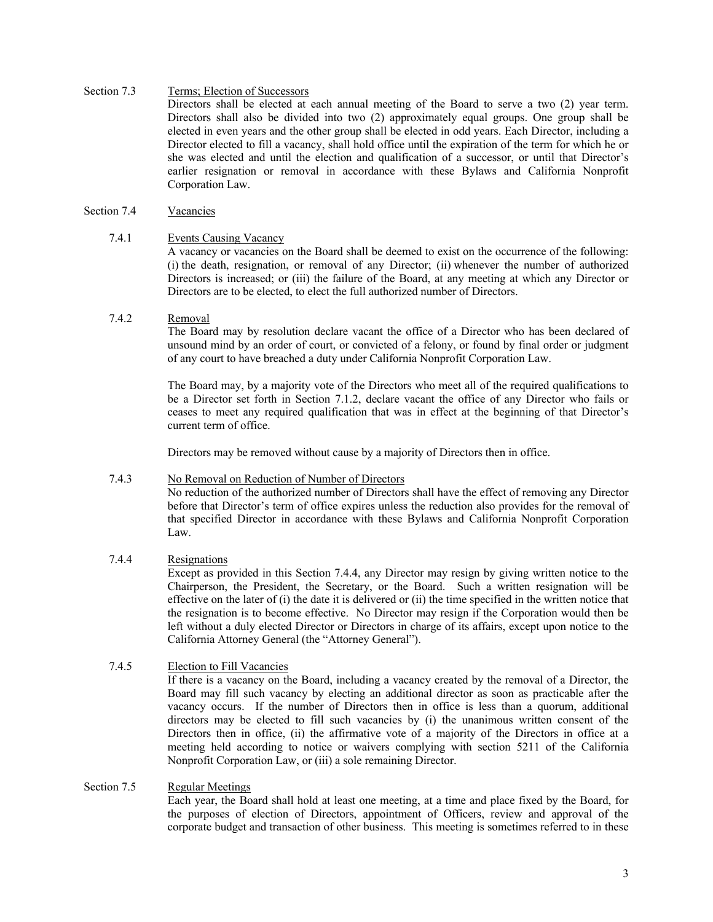### Section 7.3 Terms; Election of Successors

Directors shall be elected at each annual meeting of the Board to serve a two (2) year term. Directors shall also be divided into two (2) approximately equal groups. One group shall be elected in even years and the other group shall be elected in odd years. Each Director, including a Director elected to fill a vacancy, shall hold office until the expiration of the term for which he or she was elected and until the election and qualification of a successor, or until that Director's earlier resignation or removal in accordance with these Bylaws and California Nonprofit Corporation Law.

# Section 7.4 Vacancies

### 7.4.1 Events Causing Vacancy

A vacancy or vacancies on the Board shall be deemed to exist on the occurrence of the following: (i) the death, resignation, or removal of any Director; (ii) whenever the number of authorized Directors is increased; or (iii) the failure of the Board, at any meeting at which any Director or Directors are to be elected, to elect the full authorized number of Directors.

#### 7.4.2 Removal

The Board may by resolution declare vacant the office of a Director who has been declared of unsound mind by an order of court, or convicted of a felony, or found by final order or judgment of any court to have breached a duty under California Nonprofit Corporation Law.

The Board may, by a majority vote of the Directors who meet all of the required qualifications to be a Director set forth in Section 7.1.2, declare vacant the office of any Director who fails or ceases to meet any required qualification that was in effect at the beginning of that Director's current term of office.

Directors may be removed without cause by a majority of Directors then in office.

### 7.4.3 No Removal on Reduction of Number of Directors

No reduction of the authorized number of Directors shall have the effect of removing any Director before that Director's term of office expires unless the reduction also provides for the removal of that specified Director in accordance with these Bylaws and California Nonprofit Corporation Law.

### 7.4.4 Resignations

Except as provided in this Section 7.4.4, any Director may resign by giving written notice to the Chairperson, the President, the Secretary, or the Board. Such a written resignation will be effective on the later of (i) the date it is delivered or (ii) the time specified in the written notice that the resignation is to become effective. No Director may resign if the Corporation would then be left without a duly elected Director or Directors in charge of its affairs, except upon notice to the California Attorney General (the "Attorney General").

### 7.4.5 Election to Fill Vacancies

If there is a vacancy on the Board, including a vacancy created by the removal of a Director, the Board may fill such vacancy by electing an additional director as soon as practicable after the vacancy occurs. If the number of Directors then in office is less than a quorum, additional directors may be elected to fill such vacancies by (i) the unanimous written consent of the Directors then in office, (ii) the affirmative vote of a majority of the Directors in office at a meeting held according to notice or waivers complying with section 5211 of the California Nonprofit Corporation Law, or (iii) a sole remaining Director.

### Section 7.5 Regular Meetings

Each year, the Board shall hold at least one meeting, at a time and place fixed by the Board, for the purposes of election of Directors, appointment of Officers, review and approval of the corporate budget and transaction of other business. This meeting is sometimes referred to in these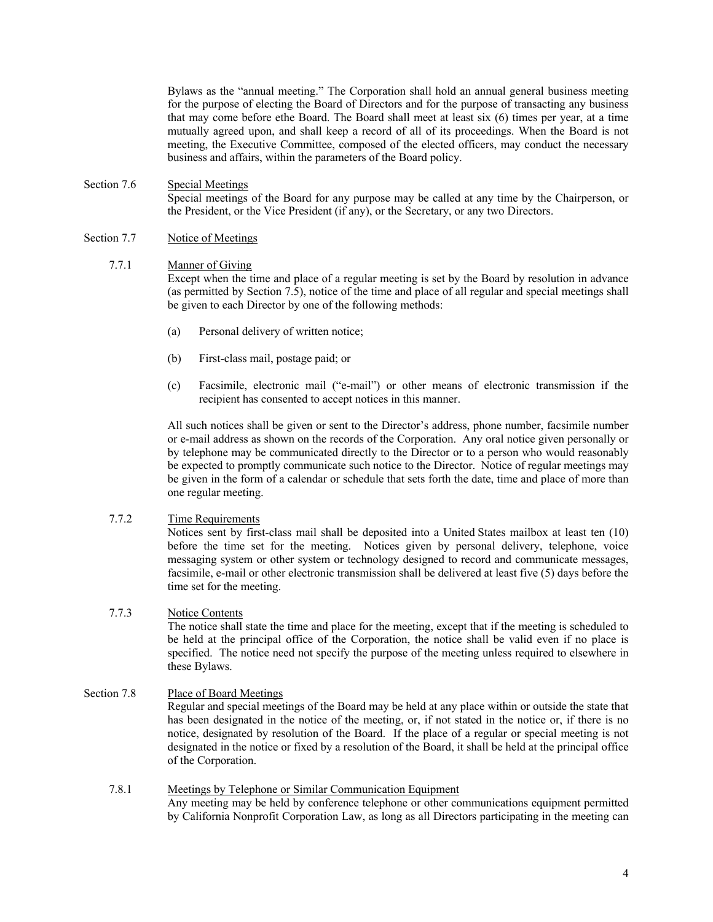Bylaws as the "annual meeting." The Corporation shall hold an annual general business meeting for the purpose of electing the Board of Directors and for the purpose of transacting any business that may come before ethe Board. The Board shall meet at least six (6) times per year, at a time mutually agreed upon, and shall keep a record of all of its proceedings. When the Board is not meeting, the Executive Committee, composed of the elected officers, may conduct the necessary business and affairs, within the parameters of the Board policy.

#### Section 7.6 Special Meetings Special meetings of the Board for any purpose may be called at any time by the Chairperson, or the President, or the Vice President (if any), or the Secretary, or any two Directors.

### Section 7.7 Notice of Meetings

#### 7.7.1 Manner of Giving

Except when the time and place of a regular meeting is set by the Board by resolution in advance (as permitted by Section 7.5), notice of the time and place of all regular and special meetings shall be given to each Director by one of the following methods:

- (a) Personal delivery of written notice;
- (b) First-class mail, postage paid; or
- (c) Facsimile, electronic mail ("e-mail") or other means of electronic transmission if the recipient has consented to accept notices in this manner.

All such notices shall be given or sent to the Director's address, phone number, facsimile number or e-mail address as shown on the records of the Corporation. Any oral notice given personally or by telephone may be communicated directly to the Director or to a person who would reasonably be expected to promptly communicate such notice to the Director. Notice of regular meetings may be given in the form of a calendar or schedule that sets forth the date, time and place of more than one regular meeting.

### 7.7.2 Time Requirements

Notices sent by first-class mail shall be deposited into a United States mailbox at least ten (10) before the time set for the meeting. Notices given by personal delivery, telephone, voice messaging system or other system or technology designed to record and communicate messages, facsimile, e-mail or other electronic transmission shall be delivered at least five (5) days before the time set for the meeting.

### 7.7.3 Notice Contents

The notice shall state the time and place for the meeting, except that if the meeting is scheduled to be held at the principal office of the Corporation, the notice shall be valid even if no place is specified. The notice need not specify the purpose of the meeting unless required to elsewhere in these Bylaws.

#### Section 7.8 Place of Board Meetings

Regular and special meetings of the Board may be held at any place within or outside the state that has been designated in the notice of the meeting, or, if not stated in the notice or, if there is no notice, designated by resolution of the Board. If the place of a regular or special meeting is not designated in the notice or fixed by a resolution of the Board, it shall be held at the principal office of the Corporation.

7.8.1 Meetings by Telephone or Similar Communication Equipment Any meeting may be held by conference telephone or other communications equipment permitted by California Nonprofit Corporation Law, as long as all Directors participating in the meeting can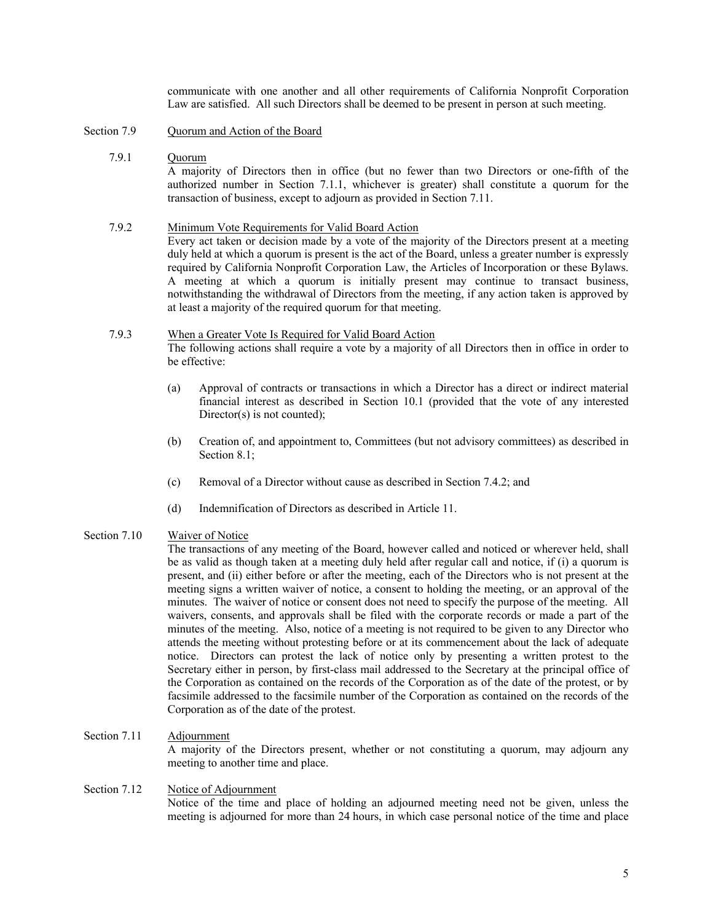communicate with one another and all other requirements of California Nonprofit Corporation Law are satisfied. All such Directors shall be deemed to be present in person at such meeting.

Section 7.9 Quorum and Action of the Board

#### 7.9.1 Quorum

A majority of Directors then in office (but no fewer than two Directors or one-fifth of the authorized number in Section 7.1.1, whichever is greater) shall constitute a quorum for the transaction of business, except to adjourn as provided in Section 7.11.

# 7.9.2 Minimum Vote Requirements for Valid Board Action

Every act taken or decision made by a vote of the majority of the Directors present at a meeting duly held at which a quorum is present is the act of the Board, unless a greater number is expressly required by California Nonprofit Corporation Law, the Articles of Incorporation or these Bylaws. A meeting at which a quorum is initially present may continue to transact business, notwithstanding the withdrawal of Directors from the meeting, if any action taken is approved by at least a majority of the required quorum for that meeting.

#### 7.9.3 When a Greater Vote Is Required for Valid Board Action The following actions shall require a vote by a majority of all Directors then in office in order to

be effective:

- (a) Approval of contracts or transactions in which a Director has a direct or indirect material financial interest as described in Section 10.1 (provided that the vote of any interested Director(s) is not counted);
- (b) Creation of, and appointment to, Committees (but not advisory committees) as described in Section 8.1:
- (c) Removal of a Director without cause as described in Section 7.4.2; and
- (d) Indemnification of Directors as described in Article 11.

### Section 7.10 Waiver of Notice

The transactions of any meeting of the Board, however called and noticed or wherever held, shall be as valid as though taken at a meeting duly held after regular call and notice, if (i) a quorum is present, and (ii) either before or after the meeting, each of the Directors who is not present at the meeting signs a written waiver of notice, a consent to holding the meeting, or an approval of the minutes. The waiver of notice or consent does not need to specify the purpose of the meeting. All waivers, consents, and approvals shall be filed with the corporate records or made a part of the minutes of the meeting. Also, notice of a meeting is not required to be given to any Director who attends the meeting without protesting before or at its commencement about the lack of adequate notice. Directors can protest the lack of notice only by presenting a written protest to the Secretary either in person, by first-class mail addressed to the Secretary at the principal office of the Corporation as contained on the records of the Corporation as of the date of the protest, or by facsimile addressed to the facsimile number of the Corporation as contained on the records of the Corporation as of the date of the protest.

#### Section 7.11 Adjournment

A majority of the Directors present, whether or not constituting a quorum, may adjourn any meeting to another time and place.

#### Section 7.12 Notice of Adjournment Notice of the time and place of holding an adjourned meeting need not be given, unless the meeting is adjourned for more than 24 hours, in which case personal notice of the time and place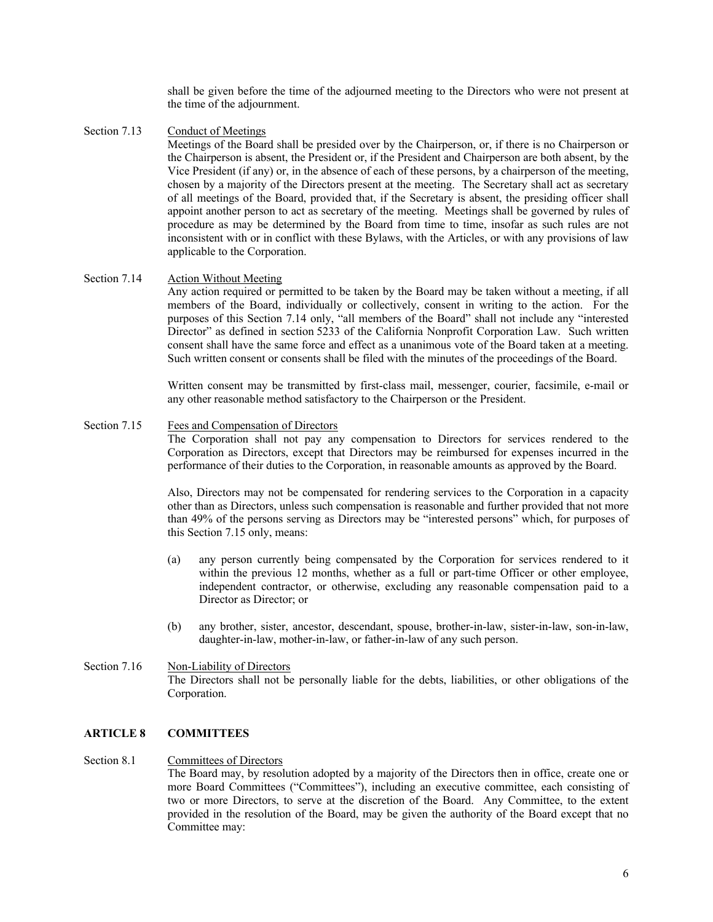shall be given before the time of the adjourned meeting to the Directors who were not present at the time of the adjournment.

Section 7.13 Conduct of Meetings

Meetings of the Board shall be presided over by the Chairperson, or, if there is no Chairperson or the Chairperson is absent, the President or, if the President and Chairperson are both absent, by the Vice President (if any) or, in the absence of each of these persons, by a chairperson of the meeting, chosen by a majority of the Directors present at the meeting. The Secretary shall act as secretary of all meetings of the Board, provided that, if the Secretary is absent, the presiding officer shall appoint another person to act as secretary of the meeting. Meetings shall be governed by rules of procedure as may be determined by the Board from time to time, insofar as such rules are not inconsistent with or in conflict with these Bylaws, with the Articles, or with any provisions of law applicable to the Corporation.

#### Section 7.14 Action Without Meeting

Any action required or permitted to be taken by the Board may be taken without a meeting, if all members of the Board, individually or collectively, consent in writing to the action. For the purposes of this Section 7.14 only, "all members of the Board" shall not include any "interested Director" as defined in section 5233 of the California Nonprofit Corporation Law. Such written consent shall have the same force and effect as a unanimous vote of the Board taken at a meeting. Such written consent or consents shall be filed with the minutes of the proceedings of the Board.

Written consent may be transmitted by first-class mail, messenger, courier, facsimile, e-mail or any other reasonable method satisfactory to the Chairperson or the President.

#### Section 7.15 Fees and Compensation of Directors

The Corporation shall not pay any compensation to Directors for services rendered to the Corporation as Directors, except that Directors may be reimbursed for expenses incurred in the performance of their duties to the Corporation, in reasonable amounts as approved by the Board.

Also, Directors may not be compensated for rendering services to the Corporation in a capacity other than as Directors, unless such compensation is reasonable and further provided that not more than 49% of the persons serving as Directors may be "interested persons" which, for purposes of this Section 7.15 only, means:

- (a) any person currently being compensated by the Corporation for services rendered to it within the previous 12 months, whether as a full or part-time Officer or other employee, independent contractor, or otherwise, excluding any reasonable compensation paid to a Director as Director; or
- (b) any brother, sister, ancestor, descendant, spouse, brother-in-law, sister-in-law, son-in-law, daughter-in-law, mother-in-law, or father-in-law of any such person.

#### Section 7.16 Non-Liability of Directors The Directors shall not be personally liable for the debts, liabilities, or other obligations of the Corporation.

#### **ARTICLE 8 COMMITTEES**

#### Section 8.1 Committees of Directors

The Board may, by resolution adopted by a majority of the Directors then in office, create one or more Board Committees ("Committees"), including an executive committee, each consisting of two or more Directors, to serve at the discretion of the Board. Any Committee, to the extent provided in the resolution of the Board, may be given the authority of the Board except that no Committee may: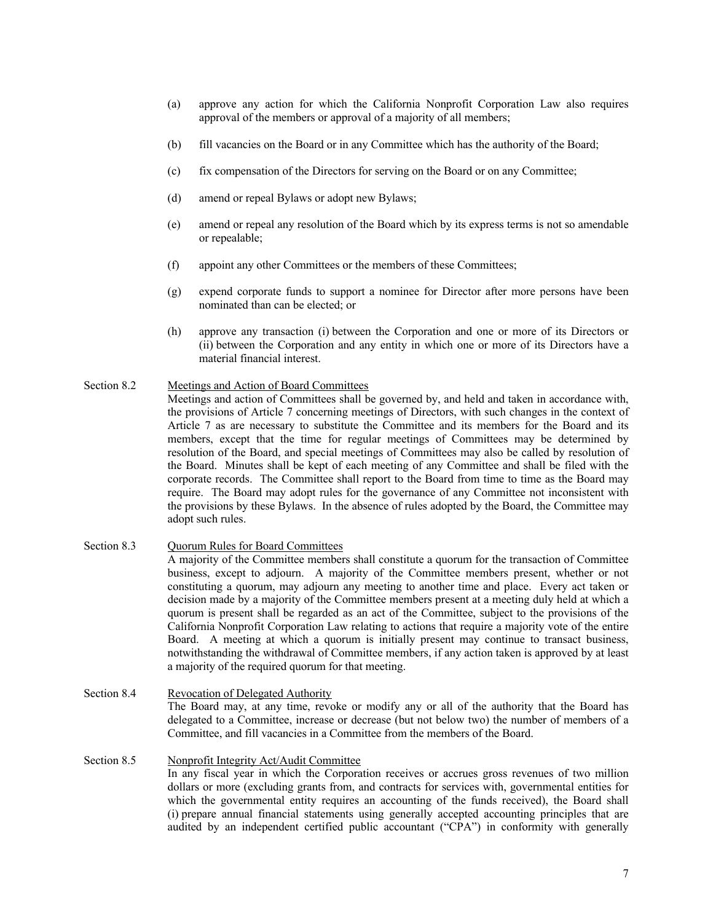- (a) approve any action for which the California Nonprofit Corporation Law also requires approval of the members or approval of a majority of all members;
- (b) fill vacancies on the Board or in any Committee which has the authority of the Board;
- (c) fix compensation of the Directors for serving on the Board or on any Committee;
- (d) amend or repeal Bylaws or adopt new Bylaws;
- (e) amend or repeal any resolution of the Board which by its express terms is not so amendable or repealable;
- (f) appoint any other Committees or the members of these Committees;
- (g) expend corporate funds to support a nominee for Director after more persons have been nominated than can be elected; or
- (h) approve any transaction (i) between the Corporation and one or more of its Directors or (ii) between the Corporation and any entity in which one or more of its Directors have a material financial interest.

### Section 8.2 Meetings and Action of Board Committees

Meetings and action of Committees shall be governed by, and held and taken in accordance with, the provisions of Article 7 concerning meetings of Directors, with such changes in the context of Article 7 as are necessary to substitute the Committee and its members for the Board and its members, except that the time for regular meetings of Committees may be determined by resolution of the Board, and special meetings of Committees may also be called by resolution of the Board. Minutes shall be kept of each meeting of any Committee and shall be filed with the corporate records. The Committee shall report to the Board from time to time as the Board may require. The Board may adopt rules for the governance of any Committee not inconsistent with the provisions by these Bylaws. In the absence of rules adopted by the Board, the Committee may adopt such rules.

### Section 8.3 Quorum Rules for Board Committees

A majority of the Committee members shall constitute a quorum for the transaction of Committee business, except to adjourn. A majority of the Committee members present, whether or not constituting a quorum, may adjourn any meeting to another time and place. Every act taken or decision made by a majority of the Committee members present at a meeting duly held at which a quorum is present shall be regarded as an act of the Committee, subject to the provisions of the California Nonprofit Corporation Law relating to actions that require a majority vote of the entire Board. A meeting at which a quorum is initially present may continue to transact business, notwithstanding the withdrawal of Committee members, if any action taken is approved by at least a majority of the required quorum for that meeting.

Section 8.4 Revocation of Delegated Authority The Board may, at any time, revoke or modify any or all of the authority that the Board has delegated to a Committee, increase or decrease (but not below two) the number of members of a Committee, and fill vacancies in a Committee from the members of the Board.

#### Section 8.5 Nonprofit Integrity Act/Audit Committee In any fiscal year in which the Corporation receives or accrues gross revenues of two million dollars or more (excluding grants from, and contracts for services with, governmental entities for which the governmental entity requires an accounting of the funds received), the Board shall (i) prepare annual financial statements using generally accepted accounting principles that are audited by an independent certified public accountant ("CPA") in conformity with generally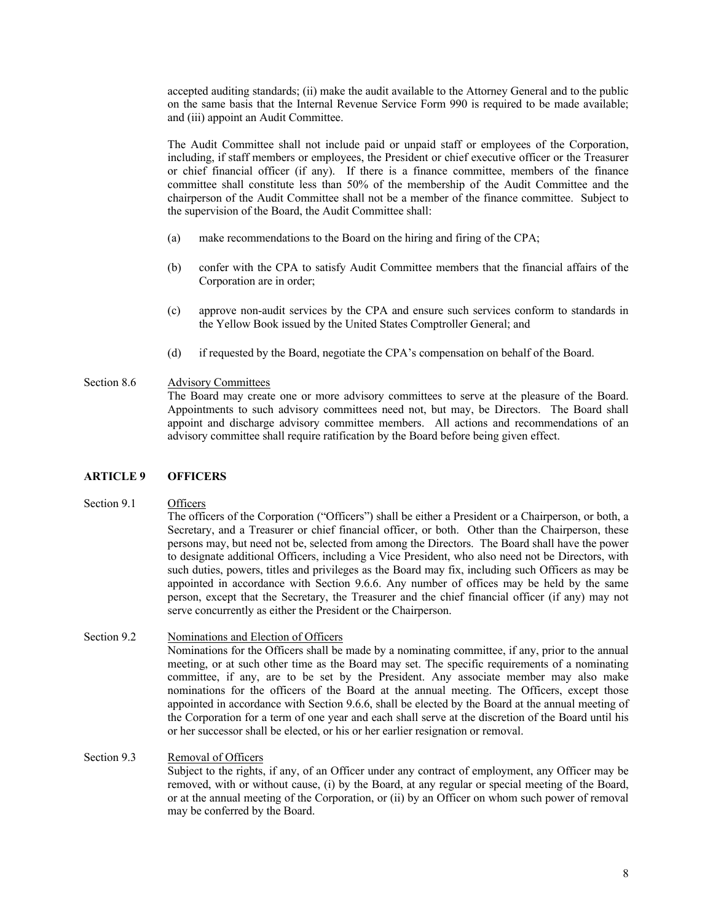accepted auditing standards; (ii) make the audit available to the Attorney General and to the public on the same basis that the Internal Revenue Service Form 990 is required to be made available; and (iii) appoint an Audit Committee.

The Audit Committee shall not include paid or unpaid staff or employees of the Corporation, including, if staff members or employees, the President or chief executive officer or the Treasurer or chief financial officer (if any). If there is a finance committee, members of the finance committee shall constitute less than 50% of the membership of the Audit Committee and the chairperson of the Audit Committee shall not be a member of the finance committee. Subject to the supervision of the Board, the Audit Committee shall:

- (a) make recommendations to the Board on the hiring and firing of the CPA;
- (b) confer with the CPA to satisfy Audit Committee members that the financial affairs of the Corporation are in order;
- (c) approve non-audit services by the CPA and ensure such services conform to standards in the Yellow Book issued by the United States Comptroller General; and
- (d) if requested by the Board, negotiate the CPA's compensation on behalf of the Board.

### Section 8.6 Advisory Committees

The Board may create one or more advisory committees to serve at the pleasure of the Board. Appointments to such advisory committees need not, but may, be Directors. The Board shall appoint and discharge advisory committee members. All actions and recommendations of an advisory committee shall require ratification by the Board before being given effect.

### **ARTICLE 9 OFFICERS**

### Section 9.1 Officers

The officers of the Corporation ("Officers") shall be either a President or a Chairperson, or both, a Secretary, and a Treasurer or chief financial officer, or both. Other than the Chairperson, these persons may, but need not be, selected from among the Directors. The Board shall have the power to designate additional Officers, including a Vice President, who also need not be Directors, with such duties, powers, titles and privileges as the Board may fix, including such Officers as may be appointed in accordance with Section 9.6.6. Any number of offices may be held by the same person, except that the Secretary, the Treasurer and the chief financial officer (if any) may not serve concurrently as either the President or the Chairperson.

### Section 9.2 Nominations and Election of Officers

Nominations for the Officers shall be made by a nominating committee, if any, prior to the annual meeting, or at such other time as the Board may set. The specific requirements of a nominating committee, if any, are to be set by the President. Any associate member may also make nominations for the officers of the Board at the annual meeting. The Officers, except those appointed in accordance with Section 9.6.6, shall be elected by the Board at the annual meeting of the Corporation for a term of one year and each shall serve at the discretion of the Board until his or her successor shall be elected, or his or her earlier resignation or removal.

### Section 9.3 Removal of Officers

Subject to the rights, if any, of an Officer under any contract of employment, any Officer may be removed, with or without cause, (i) by the Board, at any regular or special meeting of the Board, or at the annual meeting of the Corporation, or (ii) by an Officer on whom such power of removal may be conferred by the Board.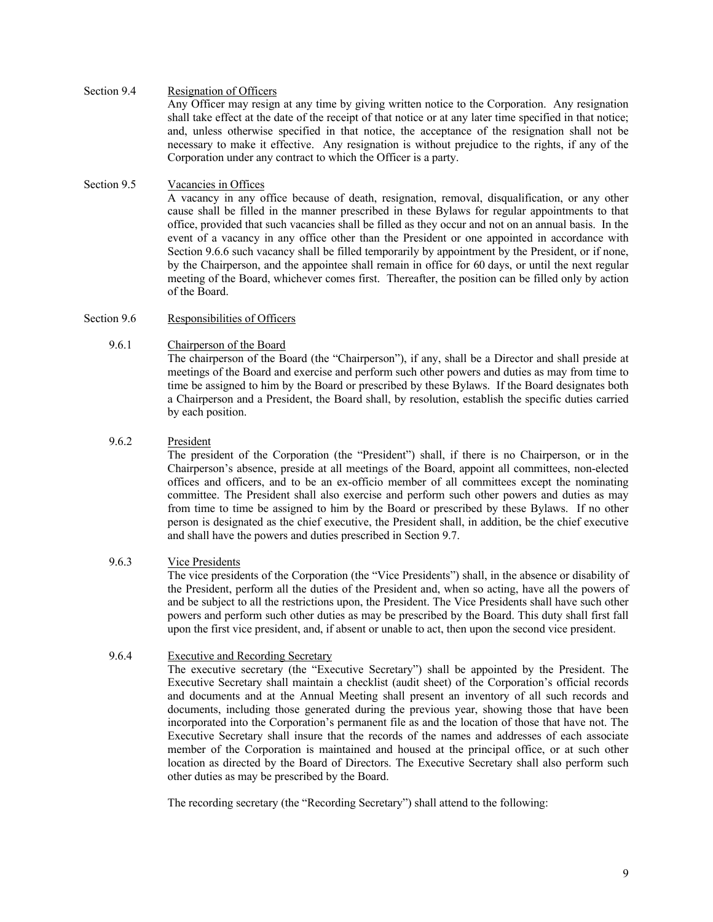### Section 9.4 Resignation of Officers

Any Officer may resign at any time by giving written notice to the Corporation. Any resignation shall take effect at the date of the receipt of that notice or at any later time specified in that notice; and, unless otherwise specified in that notice, the acceptance of the resignation shall not be necessary to make it effective. Any resignation is without prejudice to the rights, if any of the Corporation under any contract to which the Officer is a party.

# Section 9.5 Vacancies in Offices

A vacancy in any office because of death, resignation, removal, disqualification, or any other cause shall be filled in the manner prescribed in these Bylaws for regular appointments to that office, provided that such vacancies shall be filled as they occur and not on an annual basis. In the event of a vacancy in any office other than the President or one appointed in accordance with Section 9.6.6 such vacancy shall be filled temporarily by appointment by the President, or if none, by the Chairperson, and the appointee shall remain in office for 60 days, or until the next regular meeting of the Board, whichever comes first. Thereafter, the position can be filled only by action of the Board.

## Section 9.6 Responsibilities of Officers

### 9.6.1 Chairperson of the Board

The chairperson of the Board (the "Chairperson"), if any, shall be a Director and shall preside at meetings of the Board and exercise and perform such other powers and duties as may from time to time be assigned to him by the Board or prescribed by these Bylaws. If the Board designates both a Chairperson and a President, the Board shall, by resolution, establish the specific duties carried by each position.

### 9.6.2 President

The president of the Corporation (the "President") shall, if there is no Chairperson, or in the Chairperson's absence, preside at all meetings of the Board, appoint all committees, non-elected offices and officers, and to be an ex-officio member of all committees except the nominating committee. The President shall also exercise and perform such other powers and duties as may from time to time be assigned to him by the Board or prescribed by these Bylaws. If no other person is designated as the chief executive, the President shall, in addition, be the chief executive and shall have the powers and duties prescribed in Section 9.7.

### 9.6.3 Vice Presidents

The vice presidents of the Corporation (the "Vice Presidents") shall, in the absence or disability of the President, perform all the duties of the President and, when so acting, have all the powers of and be subject to all the restrictions upon, the President. The Vice Presidents shall have such other powers and perform such other duties as may be prescribed by the Board. This duty shall first fall upon the first vice president, and, if absent or unable to act, then upon the second vice president.

### 9.6.4 Executive and Recording Secretary

The executive secretary (the "Executive Secretary") shall be appointed by the President. The Executive Secretary shall maintain a checklist (audit sheet) of the Corporation's official records and documents and at the Annual Meeting shall present an inventory of all such records and documents, including those generated during the previous year, showing those that have been incorporated into the Corporation's permanent file as and the location of those that have not. The Executive Secretary shall insure that the records of the names and addresses of each associate member of the Corporation is maintained and housed at the principal office, or at such other location as directed by the Board of Directors. The Executive Secretary shall also perform such other duties as may be prescribed by the Board.

The recording secretary (the "Recording Secretary") shall attend to the following: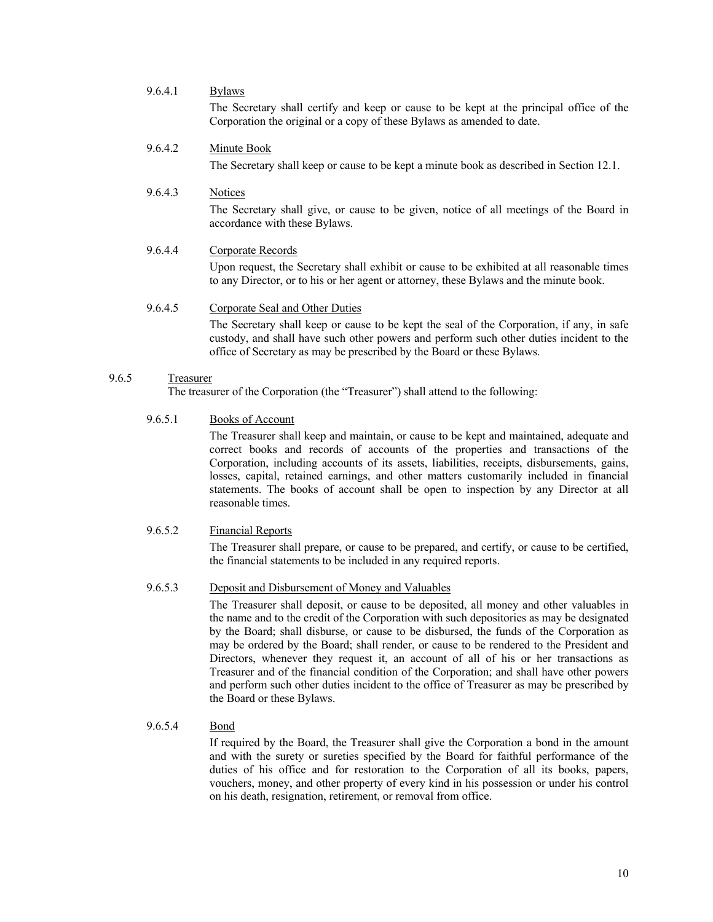# 9.6.4.1 Bylaws The Secretary shall certify and keep or cause to be kept at the principal office of the

Corporation the original or a copy of these Bylaws as amended to date.

## 9.6.4.2 Minute Book

The Secretary shall keep or cause to be kept a minute book as described in Section 12.1.

# 9.6.4.3 Notices

The Secretary shall give, or cause to be given, notice of all meetings of the Board in accordance with these Bylaws.

## 9.6.4.4 Corporate Records

Upon request, the Secretary shall exhibit or cause to be exhibited at all reasonable times to any Director, or to his or her agent or attorney, these Bylaws and the minute book.

### 9.6.4.5 Corporate Seal and Other Duties The Secretary shall keep or cause to be kept the seal of the Corporation, if any, in safe custody, and shall have such other powers and perform such other duties incident to the office of Secretary as may be prescribed by the Board or these Bylaws.

#### 9.6.5 Treasurer

The treasurer of the Corporation (the "Treasurer") shall attend to the following:

### 9.6.5.1 Books of Account

The Treasurer shall keep and maintain, or cause to be kept and maintained, adequate and correct books and records of accounts of the properties and transactions of the Corporation, including accounts of its assets, liabilities, receipts, disbursements, gains, losses, capital, retained earnings, and other matters customarily included in financial statements. The books of account shall be open to inspection by any Director at all reasonable times.

### 9.6.5.2 Financial Reports

The Treasurer shall prepare, or cause to be prepared, and certify, or cause to be certified, the financial statements to be included in any required reports.

#### 9.6.5.3 Deposit and Disbursement of Money and Valuables

The Treasurer shall deposit, or cause to be deposited, all money and other valuables in the name and to the credit of the Corporation with such depositories as may be designated by the Board; shall disburse, or cause to be disbursed, the funds of the Corporation as may be ordered by the Board; shall render, or cause to be rendered to the President and Directors, whenever they request it, an account of all of his or her transactions as Treasurer and of the financial condition of the Corporation; and shall have other powers and perform such other duties incident to the office of Treasurer as may be prescribed by the Board or these Bylaws.

#### 9.6.5.4 Bond

If required by the Board, the Treasurer shall give the Corporation a bond in the amount and with the surety or sureties specified by the Board for faithful performance of the duties of his office and for restoration to the Corporation of all its books, papers, vouchers, money, and other property of every kind in his possession or under his control on his death, resignation, retirement, or removal from office.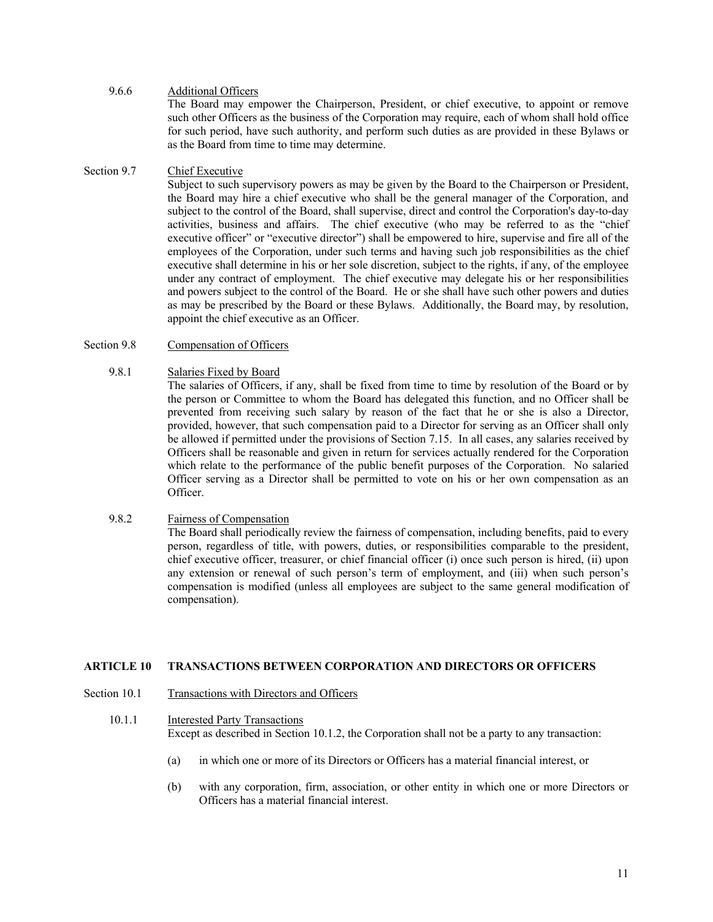### 9.6.6 Additional Officers

The Board may empower the Chairperson, President, or chief executive, to appoint or remove such other Officers as the business of the Corporation may require, each of whom shall hold office for such period, have such authority, and perform such duties as are provided in these Bylaws or as the Board from time to time may determine.

### Section 9.7 Chief Executive

Subject to such supervisory powers as may be given by the Board to the Chairperson or President, the Board may hire a chief executive who shall be the general manager of the Corporation, and subject to the control of the Board, shall supervise, direct and control the Corporation's day-to-day activities, business and affairs. The chief executive (who may be referred to as the "chief executive officer" or "executive director") shall be empowered to hire, supervise and fire all of the employees of the Corporation, under such terms and having such job responsibilities as the chief executive shall determine in his or her sole discretion, subject to the rights, if any, of the employee under any contract of employment. The chief executive may delegate his or her responsibilities and powers subject to the control of the Board. He or she shall have such other powers and duties as may be prescribed by the Board or these Bylaws. Additionally, the Board may, by resolution, appoint the chief executive as an Officer.

### Section 9.8 Compensation of Officers

#### 9.8.1 Salaries Fixed by Board

The salaries of Officers, if any, shall be fixed from time to time by resolution of the Board or by the person or Committee to whom the Board has delegated this function, and no Officer shall be prevented from receiving such salary by reason of the fact that he or she is also a Director, provided, however, that such compensation paid to a Director for serving as an Officer shall only be allowed if permitted under the provisions of Section 7.15. In all cases, any salaries received by Officers shall be reasonable and given in return for services actually rendered for the Corporation which relate to the performance of the public benefit purposes of the Corporation. No salaried Officer serving as a Director shall be permitted to vote on his or her own compensation as an Officer.

### 9.8.2 Fairness of Compensation

The Board shall periodically review the fairness of compensation, including benefits, paid to every person, regardless of title, with powers, duties, or responsibilities comparable to the president, chief executive officer, treasurer, or chief financial officer (i) once such person is hired, (ii) upon any extension or renewal of such person's term of employment, and (iii) when such person's compensation is modified (unless all employees are subject to the same general modification of compensation).

### **ARTICLE 10 TRANSACTIONS BETWEEN CORPORATION AND DIRECTORS OR OFFICERS**

#### Section 10.1 Transactions with Directors and Officers

### 10.1.1 Interested Party Transactions Except as described in Section 10.1.2, the Corporation shall not be a party to any transaction:

- (a) in which one or more of its Directors or Officers has a material financial interest, or
- (b) with any corporation, firm, association, or other entity in which one or more Directors or Officers has a material financial interest.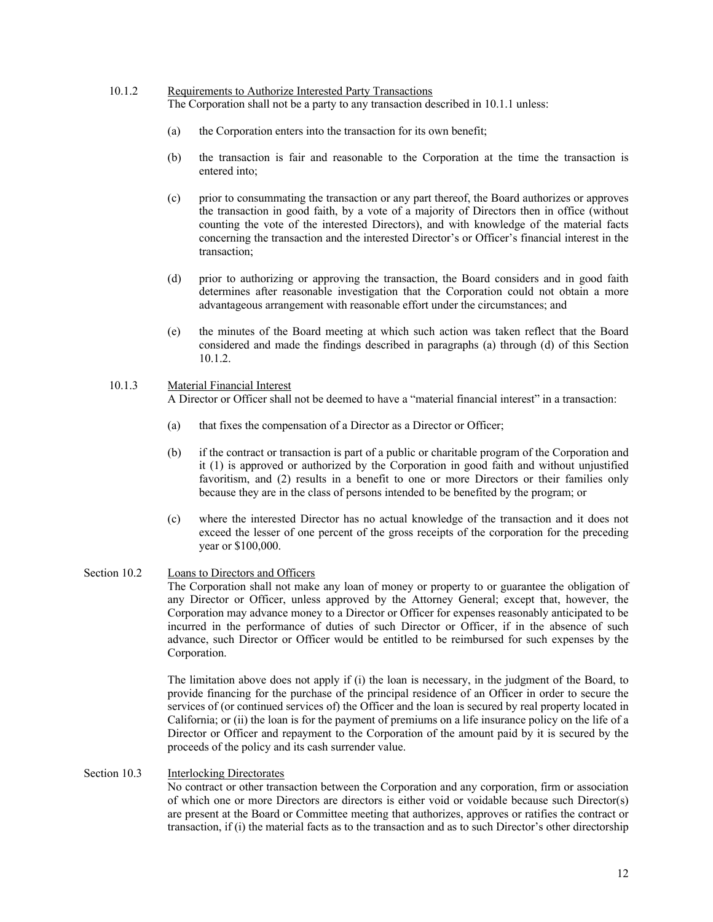#### 10.1.2 Requirements to Authorize Interested Party Transactions

The Corporation shall not be a party to any transaction described in 10.1.1 unless:

- (a) the Corporation enters into the transaction for its own benefit;
- (b) the transaction is fair and reasonable to the Corporation at the time the transaction is entered into;
- (c) prior to consummating the transaction or any part thereof, the Board authorizes or approves the transaction in good faith, by a vote of a majority of Directors then in office (without counting the vote of the interested Directors), and with knowledge of the material facts concerning the transaction and the interested Director's or Officer's financial interest in the transaction;
- (d) prior to authorizing or approving the transaction, the Board considers and in good faith determines after reasonable investigation that the Corporation could not obtain a more advantageous arrangement with reasonable effort under the circumstances; and
- (e) the minutes of the Board meeting at which such action was taken reflect that the Board considered and made the findings described in paragraphs (a) through (d) of this Section 10.1.2.

# 10.1.3 Material Financial Interest

A Director or Officer shall not be deemed to have a "material financial interest" in a transaction:

- (a) that fixes the compensation of a Director as a Director or Officer;
- (b) if the contract or transaction is part of a public or charitable program of the Corporation and it (1) is approved or authorized by the Corporation in good faith and without unjustified favoritism, and (2) results in a benefit to one or more Directors or their families only because they are in the class of persons intended to be benefited by the program; or
- (c) where the interested Director has no actual knowledge of the transaction and it does not exceed the lesser of one percent of the gross receipts of the corporation for the preceding year or \$100,000.
- Section 10.2 Loans to Directors and Officers The Corporation shall not make any loan of money or property to or guarantee the obligation of any Director or Officer, unless approved by the Attorney General; except that, however, the Corporation may advance money to a Director or Officer for expenses reasonably anticipated to be incurred in the performance of duties of such Director or Officer, if in the absence of such advance, such Director or Officer would be entitled to be reimbursed for such expenses by the Corporation.

The limitation above does not apply if (i) the loan is necessary, in the judgment of the Board, to provide financing for the purchase of the principal residence of an Officer in order to secure the services of (or continued services of) the Officer and the loan is secured by real property located in California; or (ii) the loan is for the payment of premiums on a life insurance policy on the life of a Director or Officer and repayment to the Corporation of the amount paid by it is secured by the proceeds of the policy and its cash surrender value.

#### Section 10.3 Interlocking Directorates

No contract or other transaction between the Corporation and any corporation, firm or association of which one or more Directors are directors is either void or voidable because such Director(s) are present at the Board or Committee meeting that authorizes, approves or ratifies the contract or transaction, if (i) the material facts as to the transaction and as to such Director's other directorship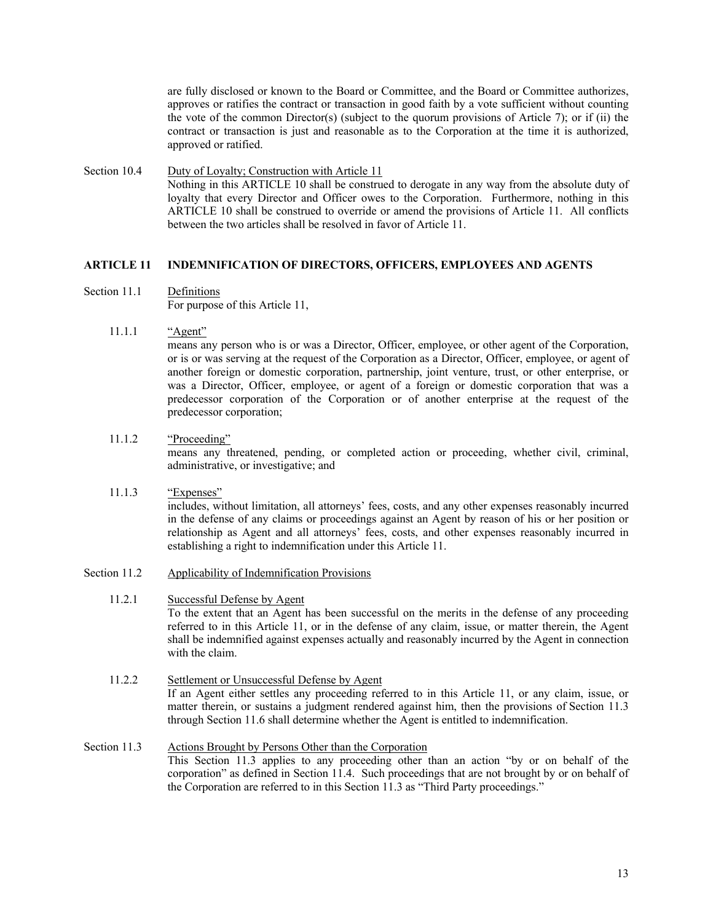are fully disclosed or known to the Board or Committee, and the Board or Committee authorizes, approves or ratifies the contract or transaction in good faith by a vote sufficient without counting the vote of the common Director(s) (subject to the quorum provisions of Article 7); or if (ii) the contract or transaction is just and reasonable as to the Corporation at the time it is authorized, approved or ratified.

Section 10.4 Duty of Loyalty; Construction with Article 11 Nothing in this ARTICLE 10 shall be construed to derogate in any way from the absolute duty of loyalty that every Director and Officer owes to the Corporation. Furthermore, nothing in this ARTICLE 10 shall be construed to override or amend the provisions of Article 11. All conflicts between the two articles shall be resolved in favor of Article 11.

### **ARTICLE 11 INDEMNIFICATION OF DIRECTORS, OFFICERS, EMPLOYEES AND AGENTS**

- Section 11.1 Definitions For purpose of this Article 11,
	- 11.1.1 "Agent"

means any person who is or was a Director, Officer, employee, or other agent of the Corporation, or is or was serving at the request of the Corporation as a Director, Officer, employee, or agent of another foreign or domestic corporation, partnership, joint venture, trust, or other enterprise, or was a Director, Officer, employee, or agent of a foreign or domestic corporation that was a predecessor corporation of the Corporation or of another enterprise at the request of the predecessor corporation;

11.1.2 "Proceeding"

means any threatened, pending, or completed action or proceeding, whether civil, criminal, administrative, or investigative; and

- 11.1.3 "Expenses" includes, without limitation, all attorneys' fees, costs, and any other expenses reasonably incurred in the defense of any claims or proceedings against an Agent by reason of his or her position or relationship as Agent and all attorneys' fees, costs, and other expenses reasonably incurred in establishing a right to indemnification under this Article 11.
- Section 11.2 Applicability of Indemnification Provisions
	- 11.2.1 Successful Defense by Agent

To the extent that an Agent has been successful on the merits in the defense of any proceeding referred to in this Article 11, or in the defense of any claim, issue, or matter therein, the Agent shall be indemnified against expenses actually and reasonably incurred by the Agent in connection with the claim.

- 11.2.2 Settlement or Unsuccessful Defense by Agent If an Agent either settles any proceeding referred to in this Article 11, or any claim, issue, or matter therein, or sustains a judgment rendered against him, then the provisions of Section 11.3 through Section 11.6 shall determine whether the Agent is entitled to indemnification.
- Section 11.3 Actions Brought by Persons Other than the Corporation This Section 11.3 applies to any proceeding other than an action "by or on behalf of the corporation" as defined in Section 11.4. Such proceedings that are not brought by or on behalf of the Corporation are referred to in this Section 11.3 as "Third Party proceedings."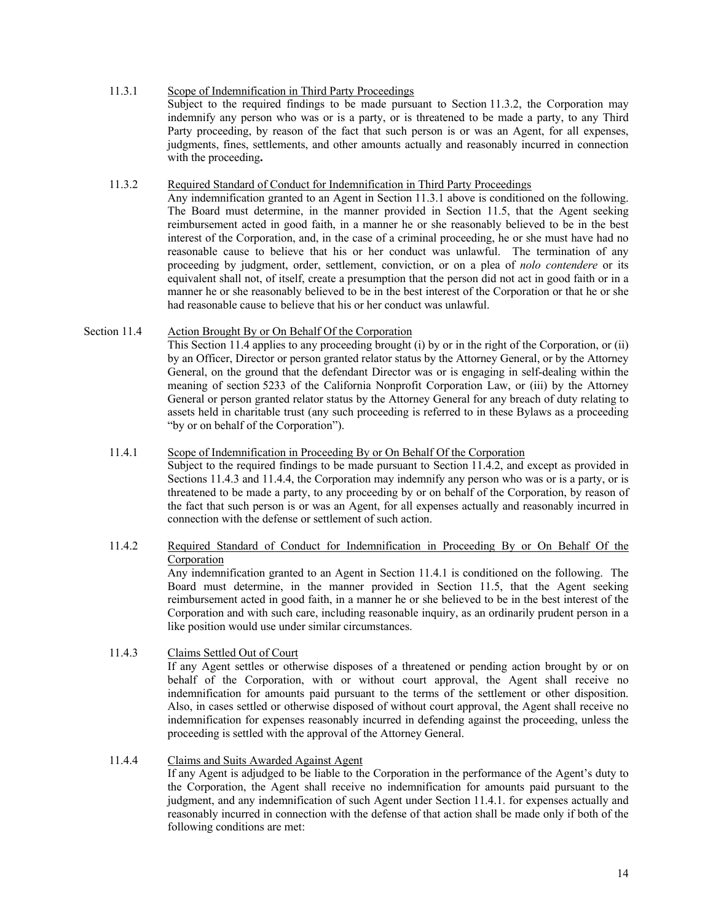### 11.3.1 Scope of Indemnification in Third Party Proceedings Subject to the required findings to be made pursuant to Section 11.3.2, the Corporation may indemnify any person who was or is a party, or is threatened to be made a party, to any Third Party proceeding, by reason of the fact that such person is or was an Agent, for all expenses, judgments, fines, settlements, and other amounts actually and reasonably incurred in connection with the proceeding**.**

#### 11.3.2 Required Standard of Conduct for Indemnification in Third Party Proceedings

Any indemnification granted to an Agent in Section 11.3.1 above is conditioned on the following. The Board must determine, in the manner provided in Section 11.5, that the Agent seeking reimbursement acted in good faith, in a manner he or she reasonably believed to be in the best interest of the Corporation, and, in the case of a criminal proceeding, he or she must have had no reasonable cause to believe that his or her conduct was unlawful. The termination of any proceeding by judgment, order, settlement, conviction, or on a plea of *nolo contendere* or its equivalent shall not, of itself, create a presumption that the person did not act in good faith or in a manner he or she reasonably believed to be in the best interest of the Corporation or that he or she had reasonable cause to believe that his or her conduct was unlawful.

# Section 11.4 Action Brought By or On Behalf Of the Corporation

This Section 11.4 applies to any proceeding brought (i) by or in the right of the Corporation, or (ii) by an Officer, Director or person granted relator status by the Attorney General, or by the Attorney General, on the ground that the defendant Director was or is engaging in self-dealing within the meaning of section 5233 of the California Nonprofit Corporation Law, or (iii) by the Attorney General or person granted relator status by the Attorney General for any breach of duty relating to assets held in charitable trust (any such proceeding is referred to in these Bylaws as a proceeding "by or on behalf of the Corporation").

### 11.4.1 Scope of Indemnification in Proceeding By or On Behalf Of the Corporation

Subject to the required findings to be made pursuant to Section 11.4.2, and except as provided in Sections 11.4.3 and 11.4.4, the Corporation may indemnify any person who was or is a party, or is threatened to be made a party, to any proceeding by or on behalf of the Corporation, by reason of the fact that such person is or was an Agent, for all expenses actually and reasonably incurred in connection with the defense or settlement of such action.

# 11.4.2 Required Standard of Conduct for Indemnification in Proceeding By or On Behalf Of the Corporation

Any indemnification granted to an Agent in Section 11.4.1 is conditioned on the following. The Board must determine, in the manner provided in Section 11.5, that the Agent seeking reimbursement acted in good faith, in a manner he or she believed to be in the best interest of the Corporation and with such care, including reasonable inquiry, as an ordinarily prudent person in a like position would use under similar circumstances.

### 11.4.3 Claims Settled Out of Court

If any Agent settles or otherwise disposes of a threatened or pending action brought by or on behalf of the Corporation, with or without court approval, the Agent shall receive no indemnification for amounts paid pursuant to the terms of the settlement or other disposition. Also, in cases settled or otherwise disposed of without court approval, the Agent shall receive no indemnification for expenses reasonably incurred in defending against the proceeding, unless the proceeding is settled with the approval of the Attorney General.

### 11.4.4 Claims and Suits Awarded Against Agent

If any Agent is adjudged to be liable to the Corporation in the performance of the Agent's duty to the Corporation, the Agent shall receive no indemnification for amounts paid pursuant to the judgment, and any indemnification of such Agent under Section 11.4.1. for expenses actually and reasonably incurred in connection with the defense of that action shall be made only if both of the following conditions are met: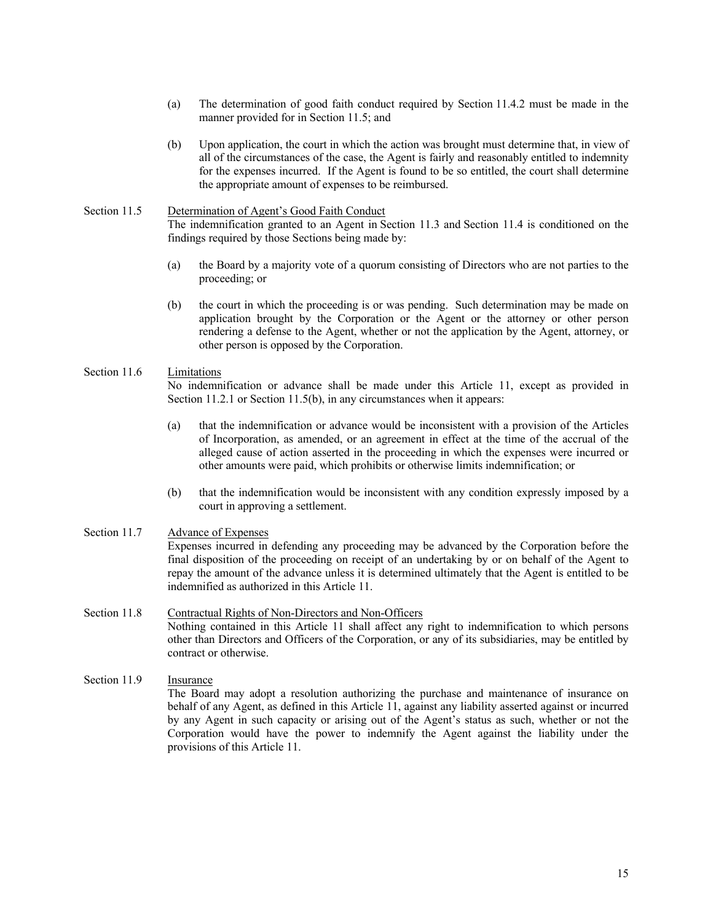- (a) The determination of good faith conduct required by Section 11.4.2 must be made in the manner provided for in Section 11.5; and
- (b) Upon application, the court in which the action was brought must determine that, in view of all of the circumstances of the case, the Agent is fairly and reasonably entitled to indemnity for the expenses incurred. If the Agent is found to be so entitled, the court shall determine the appropriate amount of expenses to be reimbursed.

# Section 11.5 Determination of Agent's Good Faith Conduct The indemnification granted to an Agent in Section 11.3 and Section 11.4 is conditioned on the findings required by those Sections being made by:

- (a) the Board by a majority vote of a quorum consisting of Directors who are not parties to the proceeding; or
- (b) the court in which the proceeding is or was pending. Such determination may be made on application brought by the Corporation or the Agent or the attorney or other person rendering a defense to the Agent, whether or not the application by the Agent, attorney, or other person is opposed by the Corporation.

### Section 11.6 Limitations

No indemnification or advance shall be made under this Article 11, except as provided in Section 11.2.1 or Section 11.5(b), in any circumstances when it appears:

- (a) that the indemnification or advance would be inconsistent with a provision of the Articles of Incorporation, as amended, or an agreement in effect at the time of the accrual of the alleged cause of action asserted in the proceeding in which the expenses were incurred or other amounts were paid, which prohibits or otherwise limits indemnification; or
- (b) that the indemnification would be inconsistent with any condition expressly imposed by a court in approving a settlement.

### Section 11.7 Advance of Expenses Expenses incurred in defending any proceeding may be advanced by the Corporation before the final disposition of the proceeding on receipt of an undertaking by or on behalf of the Agent to repay the amount of the advance unless it is determined ultimately that the Agent is entitled to be indemnified as authorized in this Article 11.

Section 11.8 Contractual Rights of Non-Directors and Non-Officers Nothing contained in this Article 11 shall affect any right to indemnification to which persons other than Directors and Officers of the Corporation, or any of its subsidiaries, may be entitled by contract or otherwise.

# Section 11.9 Insurance The Board may adopt a resolution authorizing the purchase and maintenance of insurance on behalf of any Agent, as defined in this Article 11, against any liability asserted against or incurred by any Agent in such capacity or arising out of the Agent's status as such, whether or not the Corporation would have the power to indemnify the Agent against the liability under the provisions of this Article 11.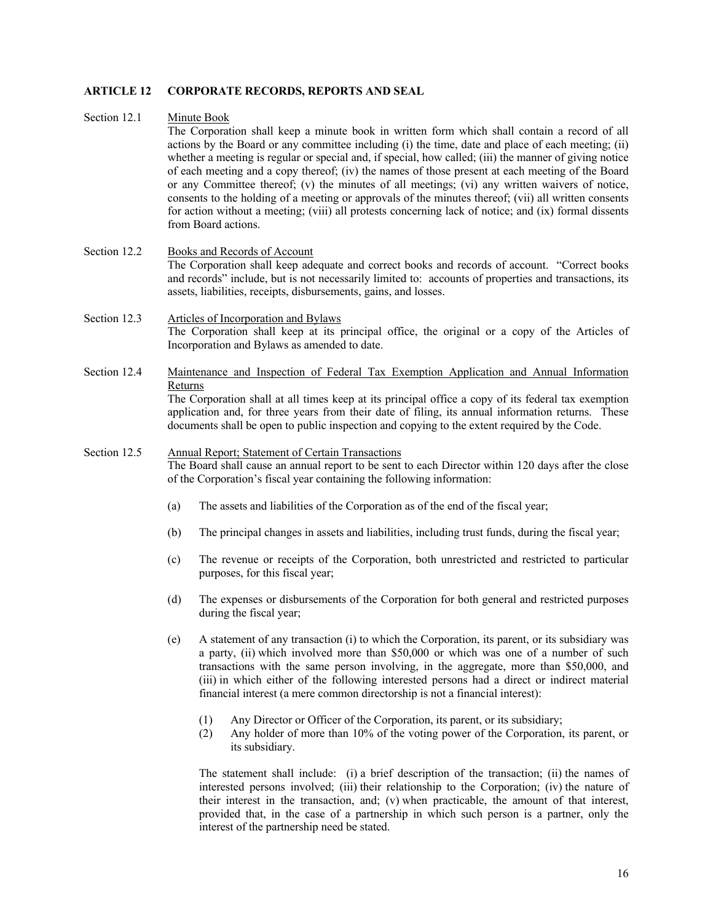### **ARTICLE 12 CORPORATE RECORDS, REPORTS AND SEAL**

#### Section 12.1 Minute Book

The Corporation shall keep a minute book in written form which shall contain a record of all actions by the Board or any committee including (i) the time, date and place of each meeting; (ii) whether a meeting is regular or special and, if special, how called; (iii) the manner of giving notice of each meeting and a copy thereof; (iv) the names of those present at each meeting of the Board or any Committee thereof; (v) the minutes of all meetings; (vi) any written waivers of notice, consents to the holding of a meeting or approvals of the minutes thereof; (vii) all written consents for action without a meeting; (viii) all protests concerning lack of notice; and (ix) formal dissents from Board actions.

#### Section 12.2 Books and Records of Account The Corporation shall keep adequate and correct books and records of account. "Correct books and records" include, but is not necessarily limited to: accounts of properties and transactions, its assets, liabilities, receipts, disbursements, gains, and losses.

### Section 12.3 Articles of Incorporation and Bylaws The Corporation shall keep at its principal office, the original or a copy of the Articles of Incorporation and Bylaws as amended to date.

Section 12.4 Maintenance and Inspection of Federal Tax Exemption Application and Annual Information Returns The Corporation shall at all times keep at its principal office a copy of its federal tax exemption

application and, for three years from their date of filing, its annual information returns. These documents shall be open to public inspection and copying to the extent required by the Code.

#### Section 12.5 Annual Report; Statement of Certain Transactions

The Board shall cause an annual report to be sent to each Director within 120 days after the close of the Corporation's fiscal year containing the following information:

- (a) The assets and liabilities of the Corporation as of the end of the fiscal year;
- (b) The principal changes in assets and liabilities, including trust funds, during the fiscal year;
- (c) The revenue or receipts of the Corporation, both unrestricted and restricted to particular purposes, for this fiscal year;
- (d) The expenses or disbursements of the Corporation for both general and restricted purposes during the fiscal year;
- (e) A statement of any transaction (i) to which the Corporation, its parent, or its subsidiary was a party, (ii) which involved more than \$50,000 or which was one of a number of such transactions with the same person involving, in the aggregate, more than \$50,000, and (iii) in which either of the following interested persons had a direct or indirect material financial interest (a mere common directorship is not a financial interest):
	- (1) Any Director or Officer of the Corporation, its parent, or its subsidiary;
	- (2) Any holder of more than 10% of the voting power of the Corporation, its parent, or its subsidiary.

The statement shall include: (i) a brief description of the transaction; (ii) the names of interested persons involved; (iii) their relationship to the Corporation; (iv) the nature of their interest in the transaction, and; (v) when practicable, the amount of that interest, provided that, in the case of a partnership in which such person is a partner, only the interest of the partnership need be stated.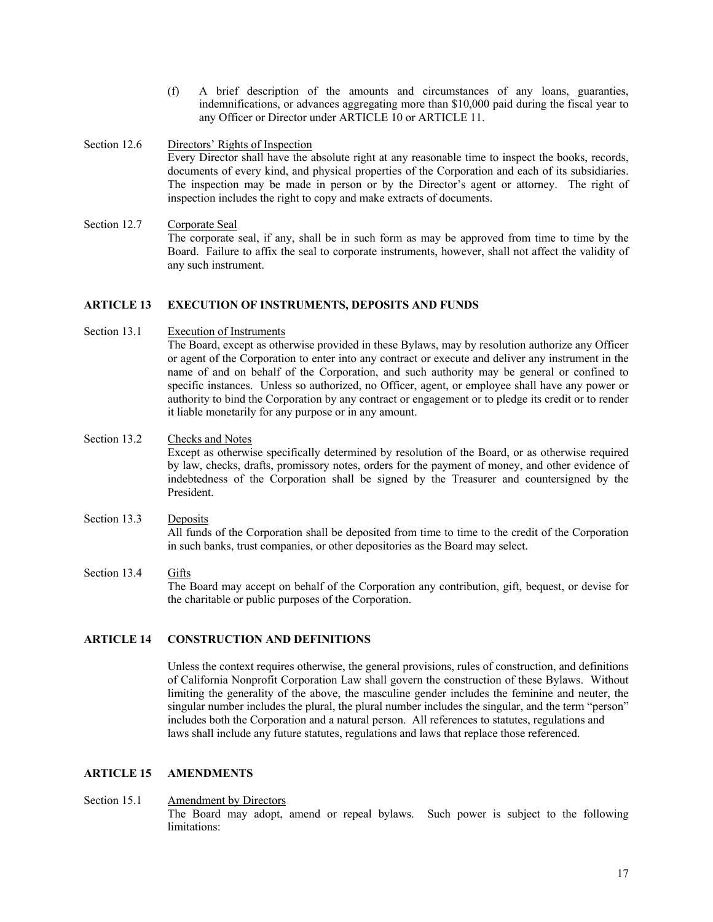- (f) A brief description of the amounts and circumstances of any loans, guaranties, indemnifications, or advances aggregating more than \$10,000 paid during the fiscal year to any Officer or Director under ARTICLE 10 or ARTICLE 11.
- Section 12.6 Directors' Rights of Inspection Every Director shall have the absolute right at any reasonable time to inspect the books, records, documents of every kind, and physical properties of the Corporation and each of its subsidiaries. The inspection may be made in person or by the Director's agent or attorney. The right of inspection includes the right to copy and make extracts of documents.
- Section 12.7 Corporate Seal The corporate seal, if any, shall be in such form as may be approved from time to time by the Board. Failure to affix the seal to corporate instruments, however, shall not affect the validity of any such instrument.

#### **ARTICLE 13 EXECUTION OF INSTRUMENTS, DEPOSITS AND FUNDS**

Section 13.1 Execution of Instruments

The Board, except as otherwise provided in these Bylaws, may by resolution authorize any Officer or agent of the Corporation to enter into any contract or execute and deliver any instrument in the name of and on behalf of the Corporation, and such authority may be general or confined to specific instances. Unless so authorized, no Officer, agent, or employee shall have any power or authority to bind the Corporation by any contract or engagement or to pledge its credit or to render it liable monetarily for any purpose or in any amount.

- Section 13.2 Checks and Notes Except as otherwise specifically determined by resolution of the Board, or as otherwise required by law, checks, drafts, promissory notes, orders for the payment of money, and other evidence of indebtedness of the Corporation shall be signed by the Treasurer and countersigned by the President.
- Section 13.3 Deposits All funds of the Corporation shall be deposited from time to time to the credit of the Corporation in such banks, trust companies, or other depositories as the Board may select.
- Section 13.4 Gifts The Board may accept on behalf of the Corporation any contribution, gift, bequest, or devise for the charitable or public purposes of the Corporation.

### **ARTICLE 14 CONSTRUCTION AND DEFINITIONS**

Unless the context requires otherwise, the general provisions, rules of construction, and definitions of California Nonprofit Corporation Law shall govern the construction of these Bylaws. Without limiting the generality of the above, the masculine gender includes the feminine and neuter, the singular number includes the plural, the plural number includes the singular, and the term "person" includes both the Corporation and a natural person. All references to statutes, regulations and laws shall include any future statutes, regulations and laws that replace those referenced.

#### **ARTICLE 15 AMENDMENTS**

Section 15.1 Amendment by Directors The Board may adopt, amend or repeal bylaws. Such power is subject to the following limitations: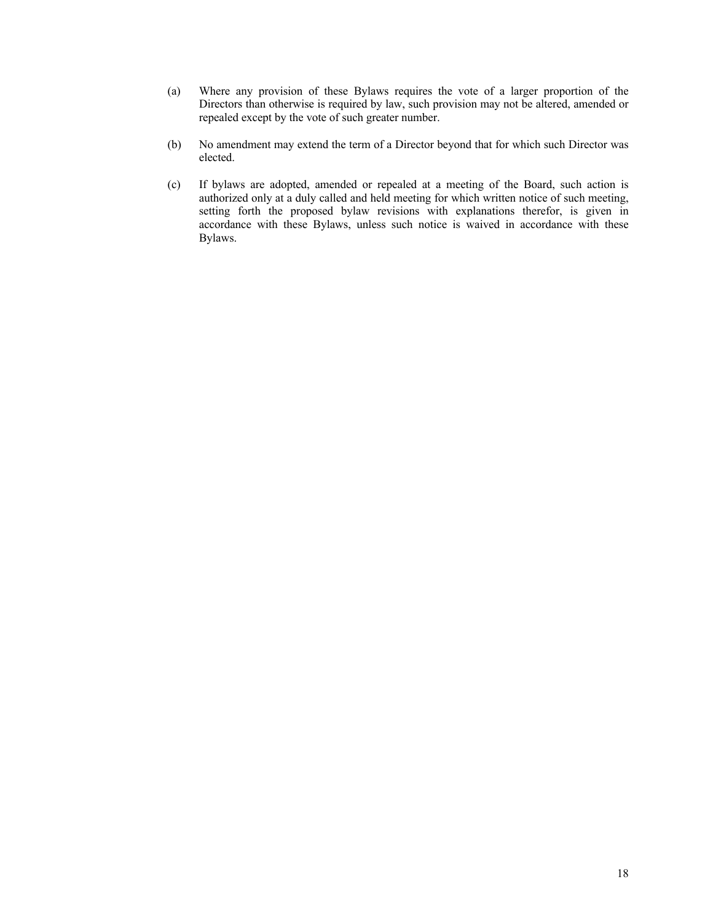- (a) Where any provision of these Bylaws requires the vote of a larger proportion of the Directors than otherwise is required by law, such provision may not be altered, amended or repealed except by the vote of such greater number.
- (b) No amendment may extend the term of a Director beyond that for which such Director was elected.
- (c) If bylaws are adopted, amended or repealed at a meeting of the Board, such action is authorized only at a duly called and held meeting for which written notice of such meeting, setting forth the proposed bylaw revisions with explanations therefor, is given in accordance with these Bylaws, unless such notice is waived in accordance with these Bylaws.